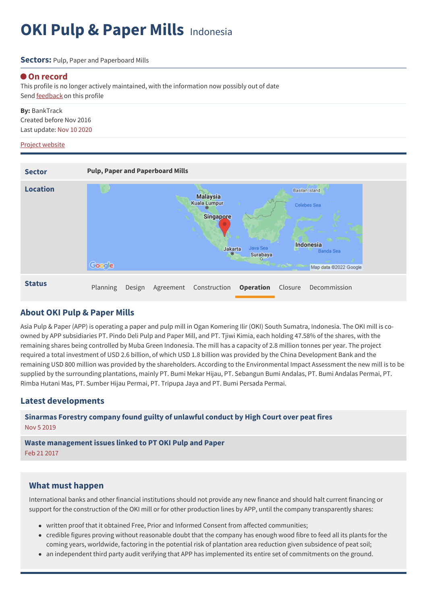# **OKI Pulp & Paper Mills** Indonesia

#### **Sectors:** Pulp, Paper and Paperboard Mills

### **On record**

This profile is no longer actively maintained, with the information now possibly out of date Send **[feedback](https://www.banktrack.org/feedback/dodgydeal/oki_pulp_paper_mills)** on this profile

**By:** BankTrack Created before Nov 2016 Last update: Nov 10 2020

#### Project website

| <b>Sector</b>   | <b>Pulp, Paper and Paperboard Mills</b>                                                                                                                                                                |
|-----------------|--------------------------------------------------------------------------------------------------------------------------------------------------------------------------------------------------------|
| <b>Location</b> | Basilan Island<br><b>Malaysia</b><br><b>Kuala Lumpur</b><br>Celebes Sea<br><b>Singapore</b><br>Indonesia<br>Java Sea<br>Jakarta<br>Banda Sea<br>$\circ$<br>Surabaya<br>Google<br>Map data @2022 Google |
| <b>Status</b>   | Planning<br><b>Operation</b><br>Construction<br>Closure<br>Decommission<br>Design<br>Agreement                                                                                                         |

## **About OKI Pulp & Paper Mills**

Asia Pulp & Paper (APP) is operating a paper and pulp mill in Ogan Komering Ilir (OKI) South Sumatra, Indonesia. The OKI mill is coowned by APP subsidiaries PT. Pindo Deli Pulp and Paper Mill, and PT. Tjiwi Kimia, each holding 47.58% of the shares, with the remaining shares being controlled by Muba Green Indonesia. The mill has a capacity of 2.8 million tonnes per year. The project required a total investment of USD 2.6 billion, of which USD 1.8 billion was provided by the China Development Bank and the remaining USD 800 million was provided by the shareholders. According to the Environmental Impact Assessment the new mill is to be supplied by the surrounding plantations, mainly PT. Bumi Mekar Hijau, PT. Sebangun Bumi Andalas, PT. Bumi Andalas Permai, PT. Rimba Hutani Mas, PT. Sumber Hijau Permai, PT. Tripupa Jaya and PT. Bumi Persada Permai.

## **Latest developments**

**[Sinarmas](javascript:void(0)) Forestry company found guilty of unlawful conduct by High Court over peat fires** Nov 5 2019

**Waste [management](javascript:void(0)) issues linked to PT OKI Pulp and Paper** Feb 21 2017

## **What must happen**

International banks and other financial institutions should not provide any new finance and should halt current financing or support for the construction of the OKI mill or for other production lines by APP, until the company transparently shares:

- written proof that it obtained Free, Prior and Informed Consent from affected communities;
- credible figures proving without reasonable doubt that the company has enough wood fibre to feed all its plants for the coming years, worldwide, factoring in the potential risk of plantation area reduction given subsidence of peat soil;
- an independent third party audit verifying that APP has implemented its entire set of commitments on the ground.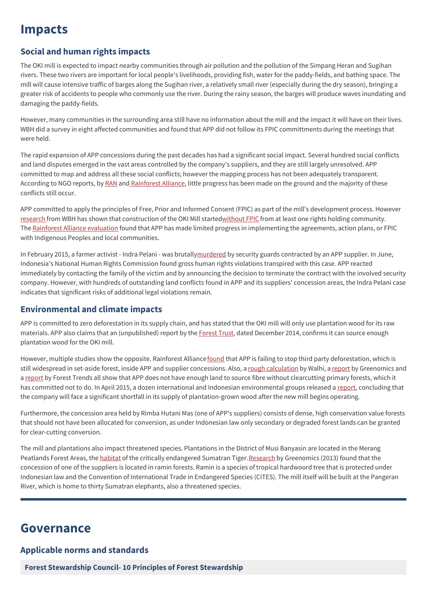## **Impacts**

## **Social and human rights impacts**

The OKI mill is expected to impact nearby communities through air pollution and the pollution of the Simpang Heran and Sugihan rivers. These two rivers are important for local people's livelihoods, providing fish, water for the paddy-fields, and bathing space. The mill will cause intensive traffic of barges along the Sugihan river, a relatively small river (especially during the dry season), bringing a greater risk of accidents to people who commonly use the river. During the rainy season, the barges will produce waves inundating and damaging the paddy-fields.

However, many communities in the surrounding area still have no information about the mill and the impact it will have on their lives. WBH did a survey in eight affected communities and found that APP did not follow its FPIC committments during the meetings that were held.

The rapid expansion of APP concessions during the past decades has had a significant social impact. Several hundred social conflicts and land disputes emerged in the vast areas controlled by the company's suppliers, and they are still largely unresolved. APP committed to map and address all these social conflicts; however the mapping process has not been adequately transparent. According to NGO reports, by [RAN](http://www.ran.org/new_report_finds_asia_pulp_and_paper_app_lagging_on_social_responsibility_commitments_provides_recommendations_for_improvement) and [Rainforest](http://www.rainforest-alliance.org/sites/default/files/uploads/4/150205-Rainforest-Alliance-APP-Evaluation-Report-en.pdf) Alliance, little progress has been made on the ground and the majority of these conflicts still occur.

APP committed to apply the principles of Free, Prior and Informed Consent (FPIC) as part of the mill's development process. However [research](http://www.wbh.or.id/download/Final%20Report%20on%20monitoring%20APP%20FPIC%20process%20Eng.pdf) from WBH has shown that construction of the OKI Mill starte[dwithout](http://www.ran.org/constant_conflict_unresolved_land_disputes_still_haunt_asia_pulp_and_paper) FPIC from at least one rights holding community. The Rainforest Alliance [evaluation](https://www.banktrack.org/project/oki_pulp_paper_mills/0/%20%20http://www.rainforest-alliance.org/sites/default/files/uploads/4/150205-Rainforest-Alliance-APP-Evaluation-Report-en.pdf) found that APP has made limited progress in implementing the agreements, action plans, or FPIC with Indigenous Peoples and local communities.

In February 2015, a farmer activist - Indra Pelani - was brutall[ymurdered](http://appwatch.blogspot.nl/2015_03_01_archive.html) by security guards contracted by an APP supplier. In June, Indonesia's National Human Rights Commission found gross human rights violations transpired with this case. APP reacted immediately by contacting the family of the victim and by announcing the decision to terminate the contract with the involved security company. However, with hundreds of outstanding land conflicts found in APP and its suppliers' concession areas, the Indra Pelani case indicates that significant risks of additional legal violations remain.

## **Environmental and climate impacts**

APP is committed to zero deforestation in its supply chain, and has stated that the OKI mill will only use plantation wood for its raw materials. APP also claims that an (unpublished) report by the **[Forest](http://technology.risiinfo.com/environment/asia-pacific/forest-certification/study-finds-app-has-enough-forest-pulp-mills) Trust**, dated December 2014, confirms it can source enough plantation wood for the OKI mill.

However, multiple studies show the opposite. Rainforest Alliance[found](http://www.rainforest-alliance.org/sites/default/files/uploads/4/150205-Rainforest-Alliance-APP-Evaluation-Report-en.pdf) that APP is failing to stop third party deforestation, which is still widespread in set-aside forest, inside APP and supplier concessions. Also, a rough [calculation](http://walhi-sumsel.blogspot.com/2012/11/the-building-of-pt-oki-pulp-and-paper.html) by Walhi, a [report](http://www.greenomics.org/docs/APP-plantation-fiber-supply_%2528LowRes%2529.pdf) by Greenomics and a [report](http://www.forest-trends.org/documents/files/doc_4843.pdf) by Forest Trends all show that APP does not have enough land to source fibre without clearcutting primary forests, which it has committed not to do. In April 2015, a dozen international and Indonesian environmental groups released a [report](https://www.wetlands.org/publications/will-asia-pulp-paper-default-on-its-zero-deforestation-commitment/), concluding that the company will face a significant shortfall in its supply of plantation-grown wood after the new mill begins operating.

Furthermore, the concession area held by Rimba Hutani Mas (one of APP's suppliers) consists of dense, high conservation value forests that should not have been allocated for conversion, as under Indonesian law only secondary or degraded forest lands can be granted for clear-cutting conversion.

The mill and plantations also impact threatened species. Plantations in the District of Musi Banyasin are located in the Merang Peatlands Forest Areas, the [habitat](http://forestclimatecenter.org/map.php?cnt=International&lang=English&ID=37) of the critically endangered Sumatran Tiger. [Research](http://www.greenomics.org/docs/APP_illegal_ramin_%2528LowRes%2529.pdf) by Greenomics (2013) found that the concession of one of the suppliers is located in ramin forests. Ramin is a species of tropical hardwoord tree that is protected under Indonesian law and the Convention of International Trade in Endangered Species (CITES). The mill itself will be built at the Pangeran River, which is home to thirty Sumatran elephants, also a threatened species.

## **Governance**

## **Applicable norms and standards**

**Forest Stewardship Council- 10 Principles of Forest [Stewardship](http://www.fsc.org/fileadmin/web-data/public/document_center/international_FSC_policies/standards/FSC_STD_01_001_V4_0_EN_FSC_Principles_and_Criteria.pdf)**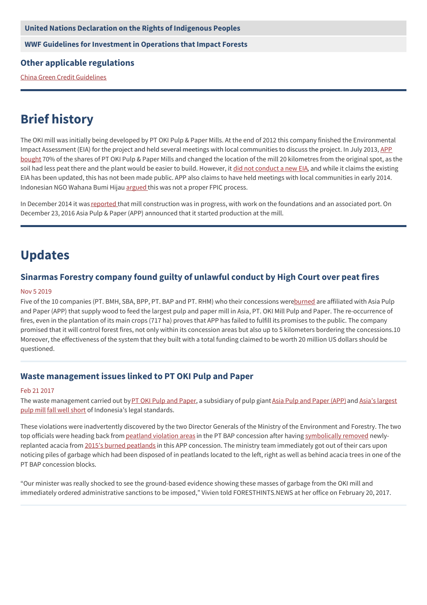#### **United Nations [Declaration](http://www.un.org/esa/socdev/unpfii/documents/DRIPS_en.pdf) on the Rights of Indigenous Peoples**

**WWF Guidelines for [Investment](http://www.google.com/url?sa=t&source=web&ct=res&cd=1&url=http%253A%252F%252Fassets.panda.org%252Fdownloads%252Fwwfinvestmentpol7oct03final.pdf&ei=BAV4Sp_GO4fz-Qbg4YDUBQ&usg=AFQjCNGb80vHXI7TiXoII4hcGMyvOhOMmw&sig2=xbHFxw1YKqBkALsIwWmlSA) in Operations that Impact Forests**

#### **Other applicable regulations**

China Green Credit [Guidelines](http://www.cbrc.gov.cn/chinese/files/2012/E9F158AD3884481DBE005DFBF0D99C45.doc)

## **Brief history**

The OKI mill was initially being developed by PT OKI Pulp & Paper Mills. At the end of 2012 this company finished the Environmental Impact Assessment (EIA) for the project and held several meetings with local [communities](http://www.asiapulppaper.com/news-media/press-releases/app%25E2%2580%2599s-new-mill-south-sumatra-uphold-no-deforestation-commitment) to discuss the project. In July 2013, APP bought 70% of the shares of PT OKI Pulp & Paper Mills and changed the location of the mill 20 kilometres from the original spot, as the soil had less peat there and the plant would be easier to build. However, it did not [conduct](http://www.wbh.or.id/download/WBH%20complaint%20letter%20to%20APP%20bilingual%201732014.pdf) a new EIA, and while it claims the existing EIA has been updated, this has not been made public. APP also claims to have held meetings with local communities in early 2014. Indonesian NGO Wahana Bumi Hijau [argued](http://www.wbh.or.id/download/WBH%20complaint%20letter%20to%20APP%20bilingual%201732014.pdf) this was not a proper FPIC process.

In December 2014 it was [reported](http://www.wbh.or.id/download/Final%20Report%20on%20monitoring%20APP%20FPIC%20process%20Eng.pdf) that mill construction was in progress, with work on the foundations and an associated port. On December 23, 2016 Asia Pulp & Paper (APP) announced that it started production at the mill.

## **Updates**

## **Sinarmas Forestry company found guilty of unlawful conduct by High Court over peat fires**

#### Nov 5 2019

Five of the 10 companies (PT. BMH, SBA, BPP, PT. BAP and PT. RHM) who their concessions wer[eburned](https://hutaninstitute.or.id/release-api-2019/) are affiliated with Asia Pulp and Paper (APP) that supply wood to feed the largest pulp and paper mill in Asia, PT. OKI Mill Pulp and Paper. The re-occurrence of fires, even in the plantation of its main crops (717 ha) proves that APP has failed to fulfill its promises to the public. The company promised that it will control forest fires, not only within its concession areas but also up to 5 kilometers bordering the concessions.10 Moreover, the effectiveness of the system that they built with a total funding claimed to be worth 20 million US dollars should be questioned.

## **Waste management issues linked to PT OKI Pulp and Paper**

#### Feb 21 2017

The waste [management](http://jakartaglobe.id/business/sinar-mas-group-to-build-asias-largest-pulp-and-paper-mill/) carried out by PT OKI Pulp and [Paper](https://www.asiapulppaper.com/), a subsidiary of pulp giant Asia Pulp and Paper (APP) and Asia's largest pulp mill fall well [short](https://foresthints.news/giant-pulp-mill-caught-red-handed-committing-waste-management-violations/) of Indonesia's legal standards.

These violations were inadvertently discovered by the two Director Generals of the Ministry of the Environment and Forestry. The two top officials were heading back from [peatland](https://foresthints.news/govt-cracks-down-on-five-more-app-peat-violators-bringing-total-to-eight) violation areas in the PT BAP concession after having [symbolically](https://foresthints.news/symbolic-removal-of-acacia-marks-new-era-of-peat-related-law-enforcement) removed newlyreplanted acacia from 2015's burned [peatlands](https://foresthints.news/photos-of-2015-burned-peat-in-pulp-giant-concessions-reinforce-president-warning) in this APP concession. The ministry team immediately got out of their cars upon noticing piles of garbage which had been disposed of in peatlands located to the left, right as well as behind acacia trees in one of the PT BAP concession blocks.

"Our minister was really shocked to see the ground-based evidence showing these masses of garbage from the OKI mill and immediately ordered administrative sanctions to be imposed," Vivien told FORESTHINTS.NEWS at her office on February 20, 2017.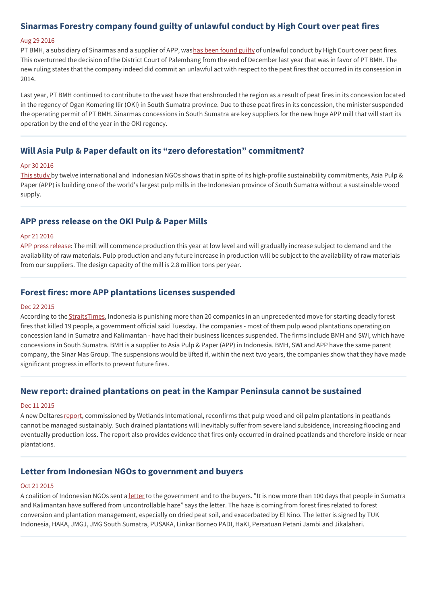## **Sinarmas Forestry company found guilty of unlawful conduct by High Court over peat fires**

#### Aug 29 2016

PT BMH, a subsidiary of Sinarmas and a supplier of APP, washas been [found](http://www.foresthints.news/sinarmas-forestry-company-found-guilty-of-unlawful-conduct-by-high-court-over-peat-fires) guilty of unlawful conduct by High Court over peat fires. This overturned the decision of the District Court of Palembang from the end of December last year that was in favor of PT BMH. The new ruling states that the company indeed did commit an unlawful act with respect to the peat fires that occurred in its consession in 2014.

Last year, PT BMH continued to contribute to the vast haze that enshrouded the region as a result of peat fires in its concession located in the regency of Ogan Komering Ilir (OKI) in South Sumatra province. Due to these peat fires in its concession, the minister suspended the operating permit of PT BMH. Sinarmas concessions in South Sumatra are key suppliers for the new huge APP mill that will start its operation by the end of the year in the OKI regency.

## **Will Asia Pulp & Paper default on its "zero deforestation" commitment?**

#### Apr 30 2016

This [study](https://www.wetlands.org/publications/will-asia-pulp-paper-default-on-its-zero-deforestation-commitment/) by twelve international and Indonesian NGOs shows that in spite of its high-profile sustainability commitments, Asia Pulp & Paper (APP) is building one of the world's largest pulp mills in the Indonesian province of South Sumatra without a sustainable wood supply.

### **APP press release on the OKI Pulp & Paper Mills**

#### Apr 21 2016

APP press [release](https://www.asiapulppaper.com/news-media/press-releases/asia-pulp-paper-group-app-statement-pt-oki-pulp-paper-mills-oki): The mill will commence production this year at low level and will gradually increase subject to demand and the availability of raw materials. Pulp production and any future increase in production will be subject to the availability of raw materials from our suppliers. The design capacity of the mill is 2.8 million tons per year.

### **Forest fires: more APP plantations licenses suspended**

#### Dec 22 2015

According to the **[StraitsTimes](http://www.straitstimes.com/asia/se-asia/haze-fires-indonesia-blames-16-firms-identifies-them-by-their-initials)**, Indonesia is punishing more than 20 companies in an unprecedented move for starting deadly forest fires that killed 19 people, a government official said Tuesday. The companies - most of them pulp wood plantations operating on concession land in Sumatra and Kalimantan - have had their business licences suspended. The firms include BMH and SWI, which have concessions in South Sumatra. BMH is a supplier to Asia Pulp & Paper (APP) in Indonesia. BMH, SWI and APP have the same parent company, the Sinar Mas Group. The suspensions would be lifted if, within the next two years, the companies show that they have made significant progress in efforts to prevent future fires.

#### **New report: drained plantations on peat in the Kampar Peninsula cannot be sustained**

#### Dec 11 2015

A new Deltares [report](https://www.deltares.nl/app/uploads/2015/12/Plantation-Impacts-Kampar-Peatland-DELTARES-2015.pdf), commissioned by Wetlands International, reconfirms that pulp wood and oil palm plantations in peatlands cannot be managed sustainably. Such drained plantations will inevitably suffer from severe land subsidence, increasing flooding and eventually production loss. The report also provides evidence that fires only occurred in drained peatlands and therefore inside or near plantations.

## **Letter from Indonesian NGOs to government and buyers**

#### Oct 21 2015

A coalition of Indonesian NGOs sent a [letter](http://appwatch.blogspot.nl/2015_10_01_archive.html) to the government and to the buyers. "It is now more than 100 days that people in Sumatra and Kalimantan have suffered from uncontrollable haze" says the letter. The haze is coming from forest fires related to forest conversion and plantation management, especially on dried peat soil, and exacerbated by El Nino. The letter is signed by TUK Indonesia, HAKA, JMGJ, JMG South Sumatra, PUSAKA, Linkar Borneo PADI, HaKI, Persatuan Petani Jambi and Jikalahari.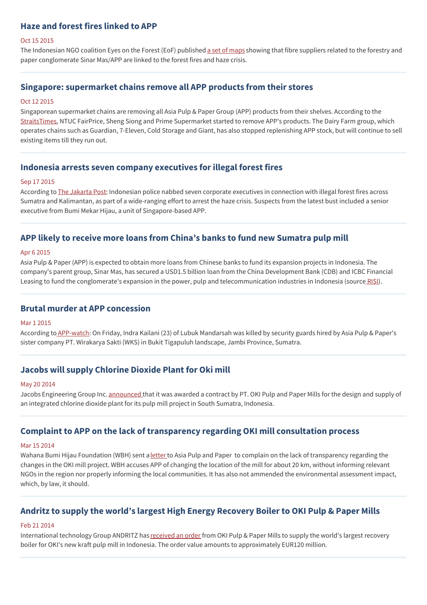## **Haze and forest fires linked to APP**

#### Oct 15 2015

The Indonesian NGO coalition Eyes on the Forest (EoF) published a set of [maps](http://www.eyesontheforest.or.id/?page=news&action=view&id=857) showing that fibre suppliers related to the forestry and paper conglomerate Sinar Mas/APP are linked to the forest fires and haze crisis.

#### **Singapore: supermarket chains remove all APP products from their stores**

#### Oct 12 2015

Singaporean supermarket chains are removing all Asia Pulp & Paper Group (APP) products from their shelves. According to the [StraitsTimes,](http://www.straitstimes.com/singapore/environment/ntuc-fairprice-removes-all-asia-pulp-paper-group-products-from-its-stores) NTUC FairPrice, Sheng Siong and Prime Supermarket started to remove APP's products. The Dairy Farm group, which operates chains such as Guardian, 7-Eleven, Cold Storage and Giant, has also stopped replenishing APP stock, but will continue to sell existing items till they run out.

#### **Indonesia arrests seven company executives for illegal forest fires**

#### Sep 17 2015

According to The [Jakarta](http://www.thejakartapost.com/news/2015/09/17/indonesia-arrests-seven-company-executives-illegal-forest-fires.html) Post: Indonesian police nabbed seven corporate executives in connection with illegal forest fires across Sumatra and Kalimantan, as part of a wide-ranging effort to arrest the haze crisis. Suspects from the latest bust included a senior executive from Bumi Mekar Hijau, a unit of Singapore-based APP.

## **APP likely to receive more loans from China's banks to fund new Sumatra pulp mill**

#### Apr 6 2015

Asia Pulp & Paper (APP) is expected to obtain more loans from Chinese banks to fund its expansion projects in Indonesia. The company's parent group, Sinar Mas, has secured a USD1.5 billion loan from the China Development Bank (CDB) and ICBC Financial Leasing to fund the conglomerate's expansion in the power, pulp and telecommunication industries in Indonesia (source [RISI](http://technology.risiinfo.com/mills/asia-pacific/projects/app-likely-get-more-loans-china-s-banks-fund-new-sumatra-pulp-mill)).

#### **Brutal murder at APP concession**

#### Mar 1 2015

According to [APP-watch](http://appwatch.blogspot.nl/2015_03_01_archive.html): On Friday, Indra Kailani (23) of Lubuk Mandarsah was killed by security guards hired by Asia Pulp & Paper's sister company PT. Wirakarya Sakti (WKS) in Bukit Tigapuluh landscape, Jambi Province, Sumatra.

### **Jacobs will supply Chlorine Dioxide Plant for Oki mill**

#### May 20 2014

Jacobs Engineering Group Inc. [announced](http://www.chemicals-technology.com/news/newsoki-pulp-and-paper-mills-selects-jacobs-engineering-for-chlorine-dioxide-facility-in-indonesia-4274547) that it was awarded a contract by PT. OKI Pulp and Paper Mills for the design and supply of an integrated chlorine dioxide plant for its pulp mill project in South Sumatra, Indonesia.

### **Complaint to APP on the lack of transparency regarding OKI mill consultation process**

#### Mar 15 2014

Wahana Bumi Hijau Foundation (WBH) sent a [letter](http://www.wbh.or.id/download/WBH%20complaint%20letter%20to%20APP%20bilingual%201732014.pdf) to Asia Pulp and Paper to complain on the lack of transparency regarding the changes in the OKI mill project. WBH accuses APP of changing the location of the mill for about 20 km, without informing relevant NGOs in the region nor properly informing the local communities. It has also not ammended the environmental assessment impact, which, by law, it should.

## **Andritz to supply the world's largest High Energy Recovery Boiler to OKI Pulp & Paper Mills**

#### Feb 21 2014

International technology Group ANDRITZ has [received](http://news.paperindex.com/NewProjects_MillClosures/ANDRITZ_to_supply_the_worldrsquos_largest_High_Energy_Recovery_Boiler_to_OKI_Pulp__Paper_Mills_Indonesia/?utm_source=feedburner&utm_medium=email&utm_campaign=Feed%253A+pulpandpapernews+%2528Pulp+and+Paper+Industry+News%2529) an order from OKI Pulp & Paper Mills to supply the world's largest recovery boiler for OKI's new kraft pulp mill in Indonesia. The order value amounts to approximately EUR120 million.